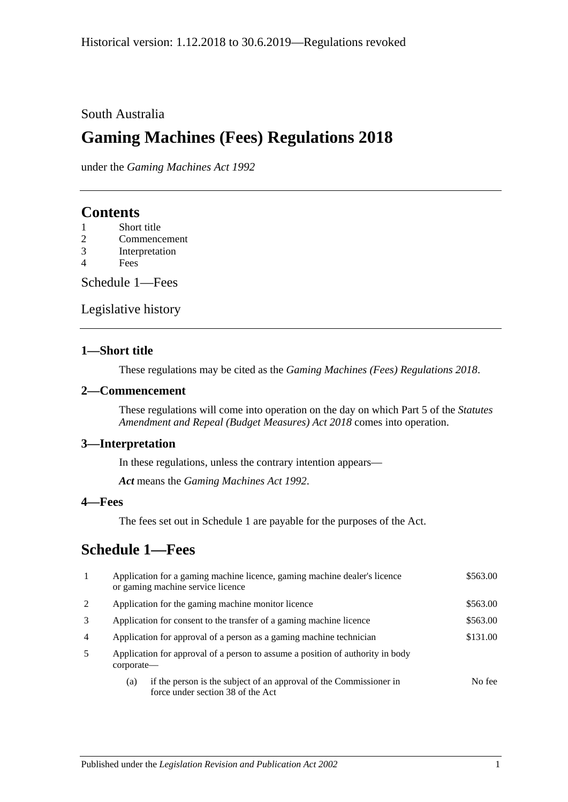#### South Australia

# **Gaming Machines (Fees) Regulations 2018**

under the *Gaming Machines Act 1992*

## **Contents**

- 1 [Short title](#page-0-0)
- 2 [Commencement](#page-0-1)
- 3 [Interpretation](#page-0-2)
- 4 [Fees](#page-0-3)

[Schedule](#page-0-4) 1—Fees

[Legislative history](#page-2-0)

#### <span id="page-0-0"></span>**1—Short title**

These regulations may be cited as the *Gaming Machines (Fees) Regulations 2018*.

#### <span id="page-0-1"></span>**2—Commencement**

These regulations will come into operation on the day on which Part 5 of the *[Statutes](http://www.legislation.sa.gov.au/index.aspx?action=legref&type=act&legtitle=Statutes%20Amendment%20and%20Repeal%20(Budget%20Measures)%20Act%202018)  [Amendment and Repeal \(Budget Measures\) Act](http://www.legislation.sa.gov.au/index.aspx?action=legref&type=act&legtitle=Statutes%20Amendment%20and%20Repeal%20(Budget%20Measures)%20Act%202018) 2018* comes into operation.

#### <span id="page-0-2"></span>**3—Interpretation**

In these regulations, unless the contrary intention appears—

*Act* means the *[Gaming Machines Act](http://www.legislation.sa.gov.au/index.aspx?action=legref&type=act&legtitle=Gaming%20Machines%20Act%201992) 1992*.

#### <span id="page-0-3"></span>**4—Fees**

The fees set out in [Schedule](#page-0-4) 1 are payable for the purposes of the Act.

## <span id="page-0-4"></span>**Schedule 1—Fees**

| $\mathbf{1}$   | Application for a gaming machine licence, gaming machine dealer's licence<br>or gaming machine service licence | \$563.00 |
|----------------|----------------------------------------------------------------------------------------------------------------|----------|
| 2              | Application for the gaming machine monitor licence                                                             | \$563.00 |
| 3              | Application for consent to the transfer of a gaming machine licence                                            | \$563.00 |
| $\overline{4}$ | Application for approval of a person as a gaming machine technician                                            | \$131.00 |
| 5              | Application for approval of a person to assume a position of authority in body<br>corporate—                   |          |
|                | if the person is the subject of an approval of the Commissioner in<br>(a)<br>force under section 38 of the Act | No fee   |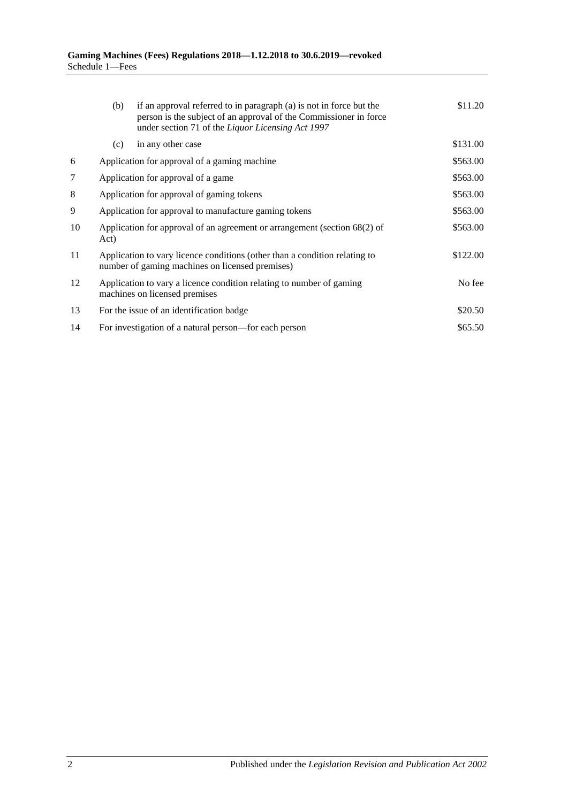|    | (b)                                                                                                                           | if an approval referred to in paragraph (a) is not in force but the<br>person is the subject of an approval of the Commissioner in force<br>under section 71 of the Liquor Licensing Act 1997 | \$11.20  |
|----|-------------------------------------------------------------------------------------------------------------------------------|-----------------------------------------------------------------------------------------------------------------------------------------------------------------------------------------------|----------|
|    | (c)                                                                                                                           | in any other case                                                                                                                                                                             | \$131.00 |
| 6  |                                                                                                                               | Application for approval of a gaming machine                                                                                                                                                  | \$563.00 |
| 7  | Application for approval of a game                                                                                            |                                                                                                                                                                                               | \$563.00 |
| 8  | Application for approval of gaming tokens                                                                                     |                                                                                                                                                                                               | \$563.00 |
| 9  | Application for approval to manufacture gaming tokens                                                                         |                                                                                                                                                                                               | \$563.00 |
| 10 | Application for approval of an agreement or arrangement (section 68(2) of<br>Act)                                             |                                                                                                                                                                                               | \$563.00 |
| 11 | Application to vary licence conditions (other than a condition relating to<br>number of gaming machines on licensed premises) |                                                                                                                                                                                               | \$122.00 |
| 12 | Application to vary a licence condition relating to number of gaming<br>machines on licensed premises                         | No fee                                                                                                                                                                                        |          |
| 13 |                                                                                                                               | For the issue of an identification badge                                                                                                                                                      | \$20.50  |
| 14 |                                                                                                                               | For investigation of a natural person—for each person                                                                                                                                         | \$65.50  |